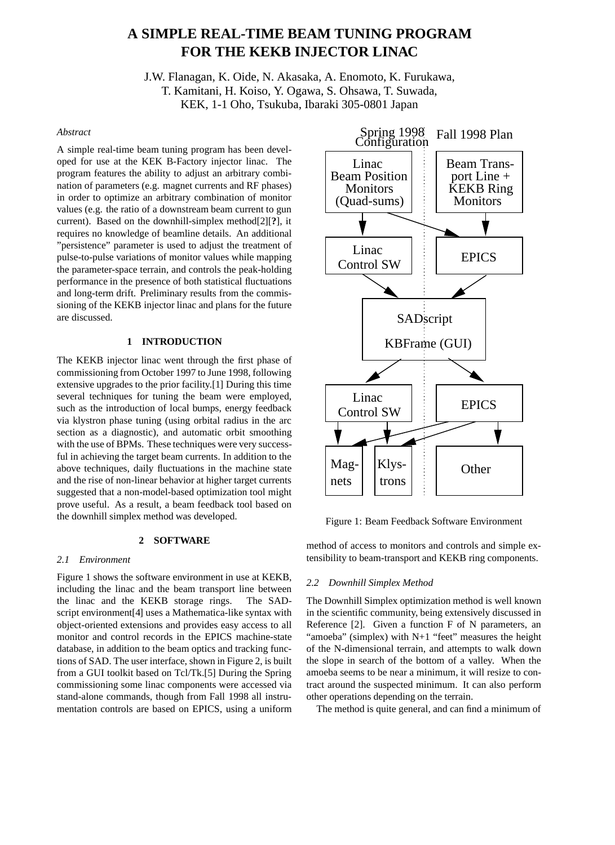# **A SIMPLE REAL-TIME BEAM TUNING PROGRAM FOR THE KEKB INJECTOR LINAC**

J.W. Flanagan, K. Oide, N. Akasaka, A. Enomoto, K. Furukawa, T. Kamitani, H. Koiso, Y. Ogawa, S. Ohsawa, T. Suwada, KEK, 1-1 Oho, Tsukuba, Ibaraki 305-0801 Japan

## *Abstract*

A simple real-time beam tuning program has been developed for use at the KEK B-Factory injector linac. The program features the ability to adjust an arbitrary combination of parameters (e.g. magnet currents and RF phases) in order to optimize an arbitrary combination of monitor values (e.g. the ratio of a downstream beam current to gun current). Based on the downhill-simplex method[2][**?**], it requires no knowledge of beamline details. An additional "persistence" parameter is used to adjust the treatment of pulse-to-pulse variations of monitor values while mapping the parameter-space terrain, and controls the peak-holding performance in the presence of both statistical fluctuations and long-term drift. Preliminary results from the commissioning of the KEKB injector linac and plans for the future are discussed.

## **1 INTRODUCTION**

The KEKB injector linac went through the first phase of commissioning from October 1997 to June 1998, following extensive upgrades to the prior facility.[1] During this time several techniques for tuning the beam were employed, such as the introduction of local bumps, energy feedback via klystron phase tuning (using orbital radius in the arc section as a diagnostic), and automatic orbit smoothing with the use of BPMs. These techniques were very successful in achieving the target beam currents. In addition to the above techniques, daily fluctuations in the machine state and the rise of non-linear behavior at higher target currents suggested that a non-model-based optimization tool might prove useful. As a result, a beam feedback tool based on the downhill simplex method was developed.

## **2 SOFTWARE**

#### *2.1 Environment*

Figure 1 shows the software environment in use at KEKB, including the linac and the beam transport line between the linac and the KEKB storage rings. The SADscript environment[4] uses a Mathematica-like syntax with object-oriented extensions and provides easy access to all monitor and control records in the EPICS machine-state database, in addition to the beam optics and tracking functions of SAD. The user interface, shown in Figure 2, is built from a GUI toolkit based on Tcl/Tk.[5] During the Spring commissioning some linac components were accessed via stand-alone commands, though from Fall 1998 all instrumentation controls are based on EPICS, using a uniform



Figure 1: Beam Feedback Software Environment

method of access to monitors and controls and simple extensibility to beam-transport and KEKB ring components.

### *2.2 Downhill Simplex Method*

The Downhill Simplex optimization method is well known in the scientific community, being extensively discussed in Reference [2]. Given a function F of N parameters, an "amoeba" (simplex) with N+1 "feet" measures the height of the N-dimensional terrain, and attempts to walk down the slope in search of the bottom of a valley. When the amoeba seems to be near a minimum, it will resize to contract around the suspected minimum. It can also perform other operations depending on the terrain.

The method is quite general, and can find a minimum of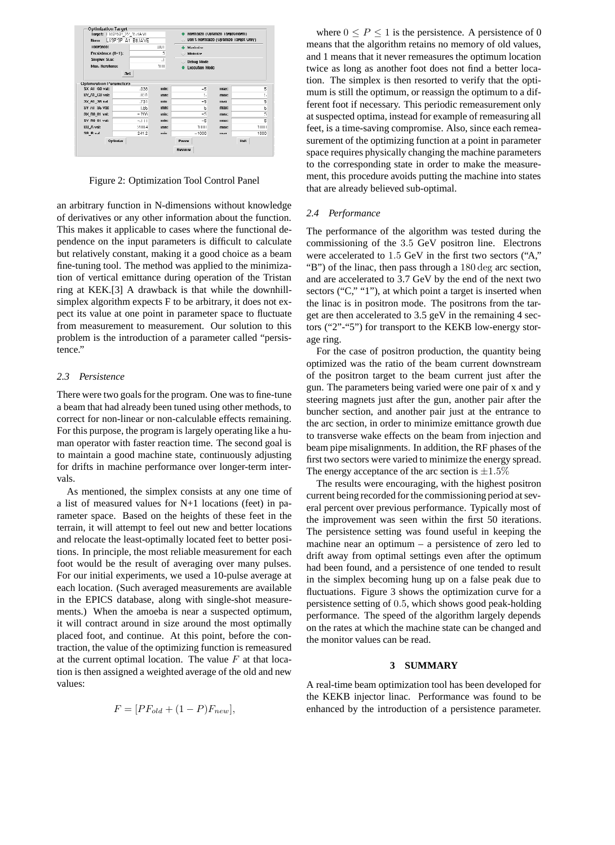| <b>Optimization Target</b><br>Target: LIISP:SP 22 15:IAVE<br>LIISP:SP A1 B8:IAVE<br>Norm: |             |                       | Normalize (Optimize Target/Norm)<br>Don't Normalize (Optimize Target Only) |      |      |                                |     |      |  |  |  |
|-------------------------------------------------------------------------------------------|-------------|-----------------------|----------------------------------------------------------------------------|------|------|--------------------------------|-----|------|--|--|--|
| Tolerance:<br>Persistence (0-1):<br>Simplex Size:<br>Max. Iterations:                     |             | .001                  | Maximize<br>Minimize<br><b>Debug Mode</b><br><b>Execution Mode</b>         |      |      |                                |     |      |  |  |  |
|                                                                                           |             | 5<br>$\cdot$ 1<br>1UU |                                                                            |      |      |                                |     |      |  |  |  |
|                                                                                           |             |                       |                                                                            |      |      |                                | Set |      |  |  |  |
|                                                                                           |             |                       |                                                                            |      |      | <b>Optimization Parameters</b> |     | min: |  |  |  |
| SX A1 G0 val:                                                                             | .038        |                       | $-5$                                                                       | max: | 5    |                                |     |      |  |  |  |
| SY AT GU val:                                                                             | <b>JIS1</b> | mm:                   | h                                                                          | max: | 5    |                                |     |      |  |  |  |
| 3X A1 36 val:                                                                             | .731        | min:                  | $-5$                                                                       | max: | 5    |                                |     |      |  |  |  |
| SY AI S6 val:                                                                             | $-1.85$     | min:                  | $-5$                                                                       | max: | 5    |                                |     |      |  |  |  |
| SX R0 01 val:                                                                             | $-766$      | min:                  | -5                                                                         | max: | п    |                                |     |      |  |  |  |
| SY R0 01 val:                                                                             | $-111$      | min:                  | $-5$                                                                       | max: | 5    |                                |     |      |  |  |  |
| SB Avai:                                                                                  | 288.4       | mm:                   | 111111                                                                     | max: | 1000 |                                |     |      |  |  |  |
| 3B B val:                                                                                 | 2412        | min:                  | $-1000$                                                                    | max: | 1000 |                                |     |      |  |  |  |
|                                                                                           | Oplimize    |                       | Pause<br><b>Resume</b>                                                     |      | Hall |                                |     |      |  |  |  |

Figure 2: Optimization Tool Control Panel

an arbitrary function in N-dimensions without knowledge of derivatives or any other information about the function. This makes it applicable to cases where the functional dependence on the input parameters is difficult to calculate but relatively constant, making it a good choice as a beam fine-tuning tool. The method was applied to the minimization of vertical emittance during operation of the Tristan ring at KEK.[3] A drawback is that while the downhillsimplex algorithm expects F to be arbitrary, it does not expect its value at one point in parameter space to fluctuate from measurement to measurement. Our solution to this problem is the introduction of a parameter called "persistence."

#### *2.3 Persistence*

There were two goals for the program. One was to fine-tune a beam that had already been tuned using other methods, to correct for non-linear or non-calculable effects remaining. For this purpose, the program is largely operating like a human operator with faster reaction time. The second goal is to maintain a good machine state, continuously adjusting for drifts in machine performance over longer-term intervals.

As mentioned, the simplex consists at any one time of a list of measured values for N+1 locations (feet) in parameter space. Based on the heights of these feet in the terrain, it will attempt to feel out new and better locations and relocate the least-optimally located feet to better positions. In principle, the most reliable measurement for each foot would be the result of averaging over many pulses. For our initial experiments, we used a 10-pulse average at each location. (Such averaged measurements are available in the EPICS database, along with single-shot measurements.) When the amoeba is near a suspected optimum, it will contract around in size around the most optimally placed foot, and continue. At this point, before the contraction, the value of the optimizing function is remeasured at the current optimal location. The value  $F$  at that location is then assigned a weighted average of the old and new values:

where  $0 \le P \le 1$  is the persistence. A persistence of 0 means that the algorithm retains no memory of old values, and 1 means that it never remeasures the optimum location twice as long as another foot does not find a better location. The simplex is then resorted to verify that the optimum is still the optimum, or reassign the optimum to a different foot if necessary. This periodic remeasurement only at suspected optima, instead for example of remeasuring all feet, is a time-saving compromise. Also, since each remeasurement of the optimizing function at a point in parameter space requires physically changing the machine parameters to the corresponding state in order to make the measurement, this procedure avoids putting the machine into states that are already believed sub-optimal.

#### *2.4 Performance*

The performance of the algorithm was tested during the commissioning of the 3.5 GeV positron line. Electrons were accelerated to 1.5 GeV in the first two sectors ("A," "B") of the linac, then pass through a 180 deg arc section, and are accelerated to 3.7 GeV by the end of the next two sectors ("C," "1"), at which point a target is inserted when the linac is in positron mode. The positrons from the target are then accelerated to 3.5 geV in the remaining 4 sectors ("2"-"5") for transport to the KEKB low-energy storage ring.

For the case of positron production, the quantity being optimized was the ratio of the beam current downstream of the positron target to the beam current just after the gun. The parameters being varied were one pair of x and y steering magnets just after the gun, another pair after the buncher section, and another pair just at the entrance to the arc section, in order to minimize emittance growth due to transverse wake effects on the beam from injection and beam pipe misalignments. In addition, the RF phases of the first two sectors were varied to minimize the energy spread. The energy acceptance of the arc section is  $\pm 1.5\%$ 

The results were encouraging, with the highest positron current being recorded for the commissioning period at several percent over previous performance. Typically most of the improvement was seen within the first 50 iterations. The persistence setting was found useful in keeping the machine near an optimum – a persistence of zero led to drift away from optimal settings even after the optimum had been found, and a persistence of one tended to result in the simplex becoming hung up on a false peak due to fluctuations. Figure 3 shows the optimization curve for a persistence setting of 0.5, which shows good peak-holding performance. The speed of the algorithm largely depends on the rates at which the machine state can be changed and the monitor values can be read.

### **3 SUMMARY**

A real-time beam optimization tool has been developed for the KEKB injector linac. Performance was found to be enhanced by the introduction of a persistence parameter.

$$
F = [PF_{old} + (1 - P)F_{new}],
$$